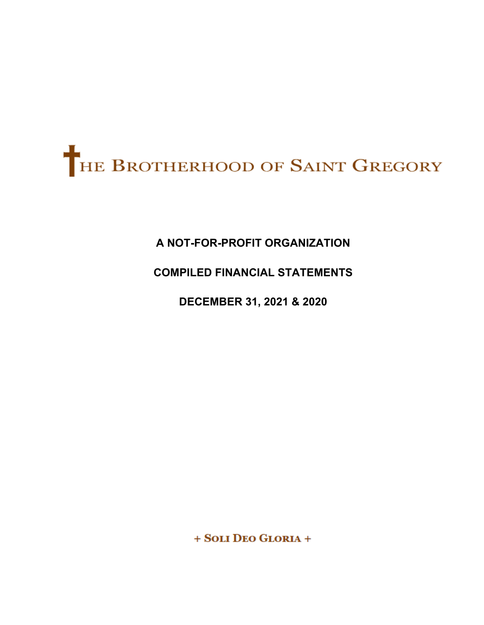

# **A NOT-FOR-PROFIT ORGANIZATION**

# **COMPILED FINANCIAL STATEMENTS**

**DECEMBER 31, 2021 & 2020** 

+ SOLI DEO GLORIA +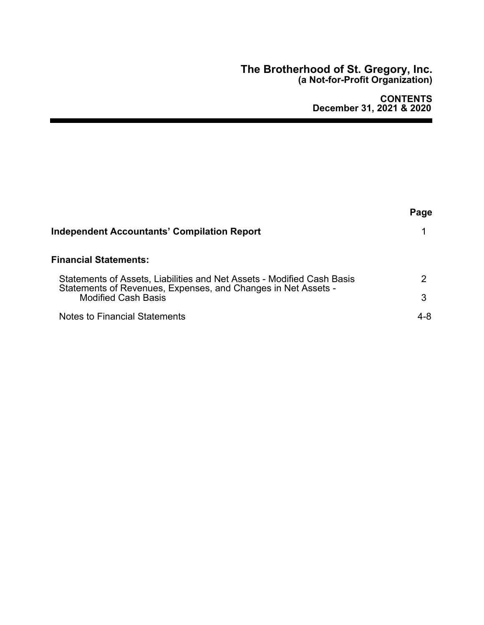## **The Brotherhood of St. Gregory, Inc. (a Not-for-Profit Organization)**

|                                                                                                                                         | Page |
|-----------------------------------------------------------------------------------------------------------------------------------------|------|
| Independent Accountants' Compilation Report                                                                                             |      |
| Financial Statements:                                                                                                                   |      |
| Statements of Assets, Liabilities and Net Assets - Modified Cash Basis<br>Statements of Revenues, Expenses, and Changes in Net Assets - | ヮ    |
| <b>Modified Cash Basis</b>                                                                                                              | 3    |
| Notes to Financial Statements                                                                                                           | 4-8  |
|                                                                                                                                         |      |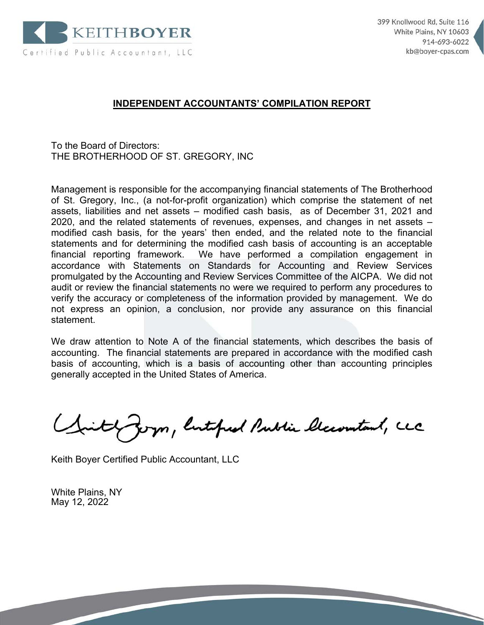

1

# **INDEPENDENT ACCOUNTANTS' COMPILATION REPORT**

To the Board of Directors: THE BROTHERHOOD OF ST. GREGORY, INC

Management is responsible for the accompanying financial statements of The Brotherhood of St. Gregory, Inc., (a not-for-profit organization) which comprise the statement of net assets, liabilities and net assets – modified cash basis, as of December 31, 2021 and 2020, and the related statements of revenues, expenses, and changes in net assets – modified cash basis, for the years' then ended, and the related note to the financial statements and for determining the modified cash basis of accounting is an acceptable financial reporting framework. We have performed a compilation engagement in accordance with Statements on Standards for Accounting and Review Services promulgated by the Accounting and Review Services Committee of the AICPA. We did not audit or review the financial statements no were we required to perform any procedures to verify the accuracy or completeness of the information provided by management. We do not express an opinion, a conclusion, nor provide any assurance on this financial statement.

We draw attention to Note A of the financial statements, which describes the basis of accounting. The financial statements are prepared in accordance with the modified cash basis of accounting, which is a basis of accounting other than accounting principles generally accepted in the United States of America.

yon, listofied Public Classmitant, LCC

Keith Boyer Certified Public Accountant, LLC

White Plains, NY May 12, 2022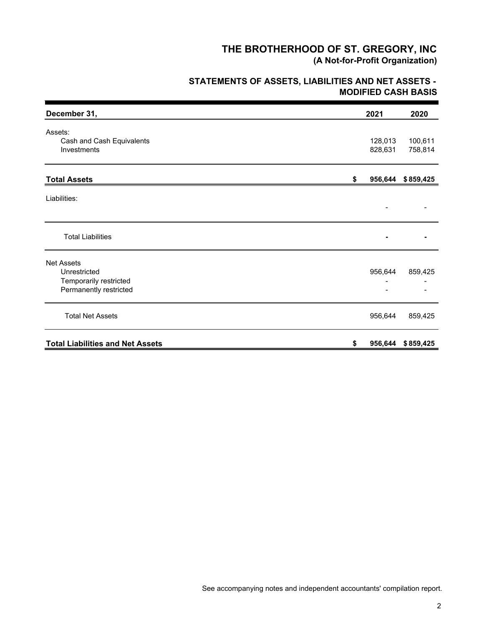# **MODIFIED CASH BASIS STATEMENTS OF ASSETS, LIABILITIES AND NET ASSETS -**

| December 31,                                                                          | 2021               | 2020               |
|---------------------------------------------------------------------------------------|--------------------|--------------------|
| Assets:<br>Cash and Cash Equivalents<br>Investments                                   | 128,013<br>828,631 | 100,611<br>758,814 |
| <b>Total Assets</b>                                                                   | \$                 | 956,644 \$859,425  |
| Liabilities:                                                                          |                    |                    |
| <b>Total Liabilities</b>                                                              |                    |                    |
| <b>Net Assets</b><br>Unrestricted<br>Temporarily restricted<br>Permanently restricted | 956,644            | 859,425            |
| <b>Total Net Assets</b>                                                               | 956,644            | 859,425            |
| <b>Total Liabilities and Net Assets</b>                                               | \$                 | 956,644 \$859,425  |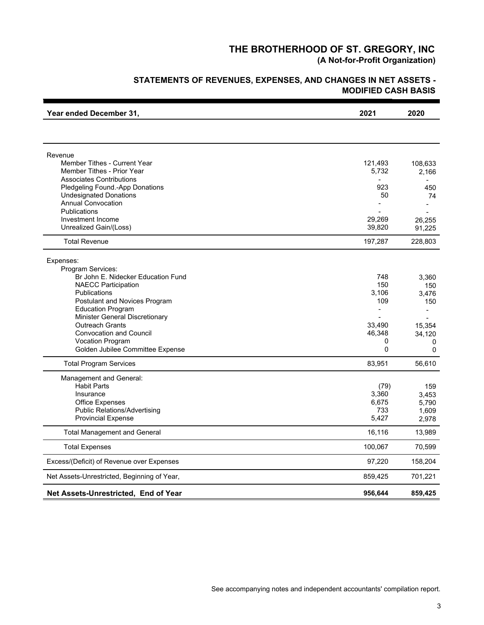# **STATEMENTS OF REVENUES, EXPENSES, AND CHANGES IN NET ASSETS - MODIFIED CASH BASIS**

| Year ended December 31,                                       | 2021         | 2020                     |
|---------------------------------------------------------------|--------------|--------------------------|
|                                                               |              |                          |
| Revenue                                                       |              |                          |
| <b>Member Tithes - Current Year</b>                           | 121,493      | 108,633                  |
| Member Tithes - Prior Year<br><b>Associates Contributions</b> | 5,732        | 2,166<br>÷               |
| Pledgeling Found.-App Donations                               | 923          | 450                      |
| <b>Undesignated Donations</b>                                 | 50           | 74                       |
| <b>Annual Convocation</b>                                     |              |                          |
| <b>Publications</b><br>Investment Income                      | 29,269       | $\blacksquare$<br>26,255 |
| Unrealized Gain/(Loss)                                        | 39,820       | 91,225                   |
| <b>Total Revenue</b>                                          | 197,287      | 228,803                  |
| Expenses:                                                     |              |                          |
| Program Services:                                             |              |                          |
| Br John E. Nidecker Education Fund                            | 748          | 3,360                    |
| <b>NAECC Participation</b>                                    | 150          | 150                      |
| <b>Publications</b><br>Postulant and Novices Program          | 3,106<br>109 | 3,476<br>150             |
| <b>Education Program</b>                                      |              |                          |
| <b>Minister General Discretionary</b>                         |              |                          |
| <b>Outreach Grants</b>                                        | 33,490       | 15,354                   |
| <b>Convocation and Council</b><br><b>Vocation Program</b>     | 46,348<br>0  | 34,120                   |
| Golden Jubilee Committee Expense                              | 0            | 0<br>0                   |
| <b>Total Program Services</b>                                 | 83,951       | 56,610                   |
|                                                               |              |                          |
| Management and General:<br><b>Habit Parts</b>                 | (79)         | 159                      |
| Insurance                                                     | 3,360        | 3.453                    |
| <b>Office Expenses</b>                                        | 6,675        | 5,790                    |
| <b>Public Relations/Advertising</b>                           | 733          | 1,609                    |
| <b>Provincial Expense</b>                                     | 5,427        | 2,978                    |
| <b>Total Management and General</b>                           | 16,116       | 13,989                   |
| <b>Total Expenses</b>                                         | 100,067      | 70,599                   |
| Excess/(Deficit) of Revenue over Expenses                     | 97,220       | 158,204                  |
| Net Assets-Unrestricted, Beginning of Year,                   | 859,425      | 701,221                  |
| Net Assets-Unrestricted, End of Year                          | 956,644      | 859,425                  |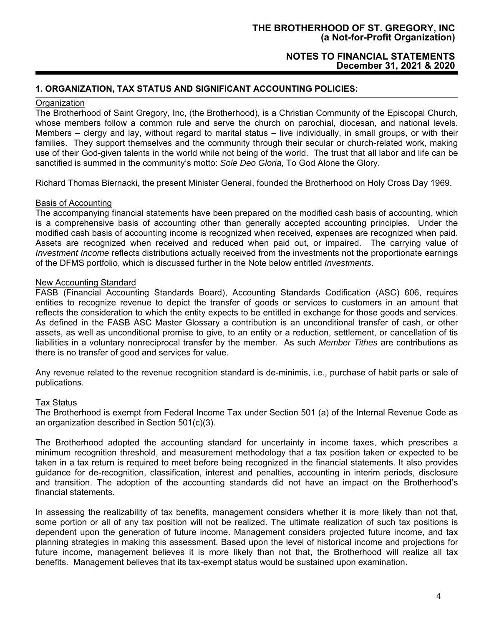## **NOTES TO FINANCIAL STATEMENTS December 31, 2021 & 2020**

## **1. ORGANIZATION, TAX STATUS AND SIGNIFICANT ACCOUNTING POLICIES:**

## **Organization**

The Brotherhood of Saint Gregory, Inc, (the Brotherhood), is a Christian Community of the Episcopal Church, whose members follow a common rule and serve the church on parochial, diocesan, and national levels. Members – clergy and lay, without regard to marital status – live individually, in small groups, or with their families. They support themselves and the community through their secular or church-related work, making use of their God-given talents in the world while not being of the world. The trust that all labor and life can be sanctified is summed in the community's motto: *Sole Deo Gloria*, To God Alone the Glory.

Richard Thomas Biernacki, the present Minister General, founded the Brotherhood on Holy Cross Day 1969.

## Basis of Accounting

The accompanying financial statements have been prepared on the modified cash basis of accounting, which is a comprehensive basis of accounting other than generally accepted accounting principles. Under the modified cash basis of accounting income is recognized when received, expenses are recognized when paid. Assets are recognized when received and reduced when paid out, or impaired. The carrying value of *Investment Income* reflects distributions actually received from the investments not the proportionate earnings of the DFMS portfolio, which is discussed further in the Note below entitled *Investments*.

#### New Accounting Standard

FASB (Financial Accounting Standards Board), Accounting Standards Codification (ASC) 606, requires entities to recognize revenue to depict the transfer of goods or services to customers in an amount that reflects the consideration to which the entity expects to be entitled in exchange for those goods and services. As defined in the FASB ASC Master Glossary a contribution is an unconditional transfer of cash, or other assets, as well as unconditional promise to give, to an entity or a reduction, settlement, or cancellation of tis liabilities in a voluntary nonreciprocal transfer by the member. As such *Member Tithes* are contributions as there is no transfer of good and services for value.

Any revenue related to the revenue recognition standard is de-minimis, i.e., purchase of habit parts or sale of publications.

#### Tax Status

The Brotherhood is exempt from Federal Income Tax under Section 501 (a) of the Internal Revenue Code as an organization described in Section 501(c)(3).

The Brotherhood adopted the accounting standard for uncertainty in income taxes, which prescribes a minimum recognition threshold, and measurement methodology that a tax position taken or expected to be taken in a tax return is required to meet before being recognized in the financial statements. It also provides guidance for de-recognition, classification, interest and penalties, accounting in interim periods, disclosure and transition. The adoption of the accounting standards did not have an impact on the Brotherhood's financial statements.

In assessing the realizability of tax benefits, management considers whether it is more likely than not that, some portion or all of any tax position will not be realized. The ultimate realization of such tax positions is dependent upon the generation of future income. Management considers projected future income, and tax planning strategies in making this assessment. Based upon the level of historical income and projections for future income, management believes it is more likely than not that, the Brotherhood will realize all tax benefits. Management believes that its tax-exempt status would be sustained upon examination.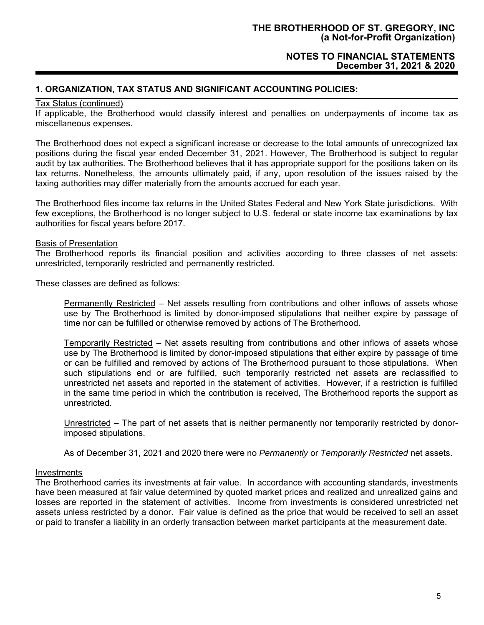## **NOTES TO FINANCIAL STATEMENTS December 31, 2021 & 2020**

## **1. ORGANIZATION, TAX STATUS AND SIGNIFICANT ACCOUNTING POLICIES:**

## Tax Status (continued)

If applicable, the Brotherhood would classify interest and penalties on underpayments of income tax as miscellaneous expenses.

The Brotherhood does not expect a significant increase or decrease to the total amounts of unrecognized tax positions during the fiscal year ended December 31, 2021. However, The Brotherhood is subject to regular audit by tax authorities. The Brotherhood believes that it has appropriate support for the positions taken on its tax returns. Nonetheless, the amounts ultimately paid, if any, upon resolution of the issues raised by the taxing authorities may differ materially from the amounts accrued for each year.

The Brotherhood files income tax returns in the United States Federal and New York State jurisdictions. With few exceptions, the Brotherhood is no longer subject to U.S. federal or state income tax examinations by tax authorities for fiscal years before 2017.

#### Basis of Presentation

The Brotherhood reports its financial position and activities according to three classes of net assets: unrestricted, temporarily restricted and permanently restricted.

These classes are defined as follows:

Permanently Restricted – Net assets resulting from contributions and other inflows of assets whose use by The Brotherhood is limited by donor-imposed stipulations that neither expire by passage of time nor can be fulfilled or otherwise removed by actions of The Brotherhood.

Temporarily Restricted – Net assets resulting from contributions and other inflows of assets whose use by The Brotherhood is limited by donor-imposed stipulations that either expire by passage of time or can be fulfilled and removed by actions of The Brotherhood pursuant to those stipulations. When such stipulations end or are fulfilled, such temporarily restricted net assets are reclassified to unrestricted net assets and reported in the statement of activities. However, if a restriction is fulfilled in the same time period in which the contribution is received, The Brotherhood reports the support as unrestricted.

Unrestricted – The part of net assets that is neither permanently nor temporarily restricted by donorimposed stipulations.

As of December 31, 2021 and 2020 there were no *Permanently* or *Temporarily Restricted* net assets.

#### Investments

The Brotherhood carries its investments at fair value. In accordance with accounting standards, investments have been measured at fair value determined by quoted market prices and realized and unrealized gains and losses are reported in the statement of activities. Income from investments is considered unrestricted net assets unless restricted by a donor. Fair value is defined as the price that would be received to sell an asset or paid to transfer a liability in an orderly transaction between market participants at the measurement date.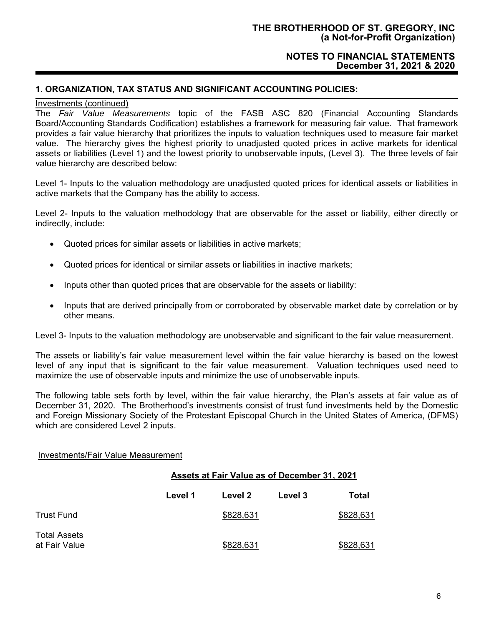## **NOTES TO FINANCIAL STATEMENTS December 31, 2021 & 2020**

## **1. ORGANIZATION, TAX STATUS AND SIGNIFICANT ACCOUNTING POLICIES:**

#### Investments (continued)

The *Fair Value Measurements* topic of the FASB ASC 820 (Financial Accounting Standards Board/Accounting Standards Codification) establishes a framework for measuring fair value. That framework provides a fair value hierarchy that prioritizes the inputs to valuation techniques used to measure fair market value. The hierarchy gives the highest priority to unadjusted quoted prices in active markets for identical assets or liabilities (Level 1) and the lowest priority to unobservable inputs, (Level 3). The three levels of fair value hierarchy are described below:

Level 1- Inputs to the valuation methodology are unadjusted quoted prices for identical assets or liabilities in active markets that the Company has the ability to access.

Level 2- Inputs to the valuation methodology that are observable for the asset or liability, either directly or indirectly, include:

- Quoted prices for similar assets or liabilities in active markets;
- Quoted prices for identical or similar assets or liabilities in inactive markets;
- Inputs other than quoted prices that are observable for the assets or liability:
- Inputs that are derived principally from or corroborated by observable market date by correlation or by other means.

Level 3- Inputs to the valuation methodology are unobservable and significant to the fair value measurement.

The assets or liability's fair value measurement level within the fair value hierarchy is based on the lowest level of any input that is significant to the fair value measurement. Valuation techniques used need to maximize the use of observable inputs and minimize the use of unobservable inputs.

The following table sets forth by level, within the fair value hierarchy, the Plan's assets at fair value as of December 31, 2020. The Brotherhood's investments consist of trust fund investments held by the Domestic and Foreign Missionary Society of the Protestant Episcopal Church in the United States of America, (DFMS) which are considered Level 2 inputs.

#### Investments/Fair Value Measurement

## **Assets at Fair Value as of December 31, 2021**

|                                      | Level 1 | Level 2   | Level 3 | Total     |
|--------------------------------------|---------|-----------|---------|-----------|
| Trust Fund                           |         | \$828,631 |         | \$828,631 |
| <b>Total Assets</b><br>at Fair Value |         | \$828,631 |         | \$828,631 |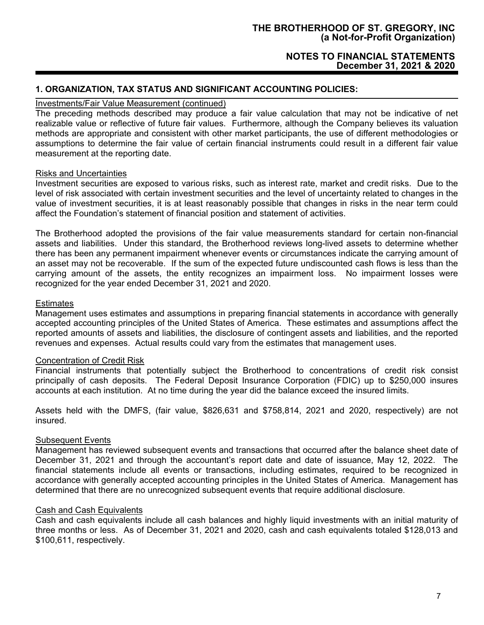## **NOTES TO FINANCIAL STATEMENTS December 31, 2021 & 2020**

## **1. ORGANIZATION, TAX STATUS AND SIGNIFICANT ACCOUNTING POLICIES:**

## Investments/Fair Value Measurement (continued)

The preceding methods described may produce a fair value calculation that may not be indicative of net realizable value or reflective of future fair values. Furthermore, although the Company believes its valuation methods are appropriate and consistent with other market participants, the use of different methodologies or assumptions to determine the fair value of certain financial instruments could result in a different fair value measurement at the reporting date.

#### Risks and Uncertainties

Investment securities are exposed to various risks, such as interest rate, market and credit risks. Due to the level of risk associated with certain investment securities and the level of uncertainty related to changes in the value of investment securities, it is at least reasonably possible that changes in risks in the near term could affect the Foundation's statement of financial position and statement of activities.

The Brotherhood adopted the provisions of the fair value measurements standard for certain non-financial assets and liabilities. Under this standard, the Brotherhood reviews long-lived assets to determine whether there has been any permanent impairment whenever events or circumstances indicate the carrying amount of an asset may not be recoverable. If the sum of the expected future undiscounted cash flows is less than the carrying amount of the assets, the entity recognizes an impairment loss. No impairment losses were recognized for the year ended December 31, 2021 and 2020.

#### **Estimates**

Management uses estimates and assumptions in preparing financial statements in accordance with generally accepted accounting principles of the United States of America. These estimates and assumptions affect the reported amounts of assets and liabilities, the disclosure of contingent assets and liabilities, and the reported revenues and expenses. Actual results could vary from the estimates that management uses.

## Concentration of Credit Risk

Financial instruments that potentially subject the Brotherhood to concentrations of credit risk consist principally of cash deposits. The Federal Deposit Insurance Corporation (FDIC) up to \$250,000 insures accounts at each institution. At no time during the year did the balance exceed the insured limits.

Assets held with the DMFS, (fair value, \$826,631 and \$758,814, 2021 and 2020, respectively) are not insured.

## Subsequent Events

Management has reviewed subsequent events and transactions that occurred after the balance sheet date of December 31, 2021 and through the accountant's report date and date of issuance, May 12, 2022. The financial statements include all events or transactions, including estimates, required to be recognized in accordance with generally accepted accounting principles in the United States of America. Management has determined that there are no unrecognized subsequent events that require additional disclosure.

#### Cash and Cash Equivalents

Cash and cash equivalents include all cash balances and highly liquid investments with an initial maturity of three months or less. As of December 31, 2021 and 2020, cash and cash equivalents totaled \$128,013 and \$100,611, respectively.